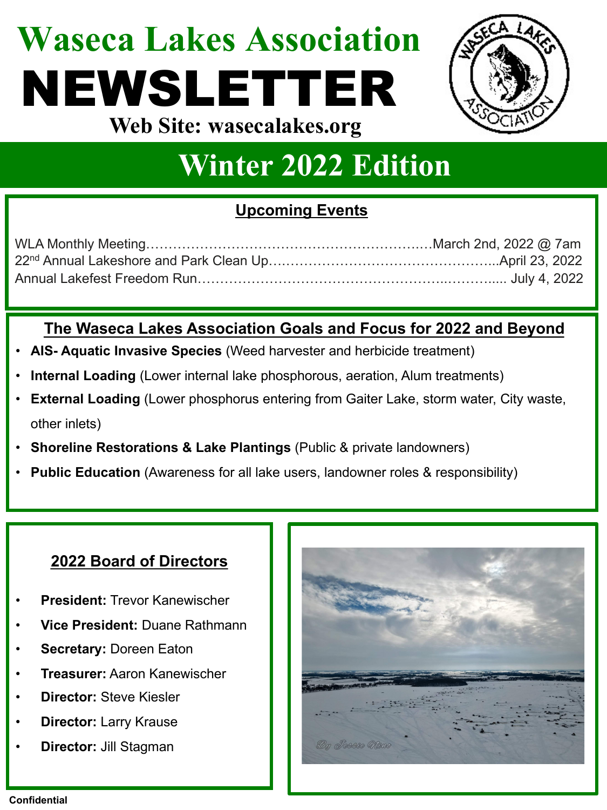### **Waseca Lakes Association** NEWSLETTER **Web Site: wasecalakes.org**



### **Winter 2022 Edition**

### **Upcoming Events**

### **The Waseca Lakes Association Goals and Focus for 2022 and Beyond**

- **AIS- Aquatic Invasive Species** (Weed harvester and herbicide treatment)
- **Internal Loading** (Lower internal lake phosphorous, aeration, Alum treatments)
- **External Loading** (Lower phosphorus entering from Gaiter Lake, storm water, City waste, other inlets)
- **Shoreline Restorations & Lake Plantings (Public & private landowners)**
- **Public Education** (Awareness for all lake users, landowner roles & responsibility)

### **2022 Board of Directors**

- **President:** Trevor Kanewischer
- **Vice President:** Duane Rathmann
- **Secretary: Doreen Eaton**
- **Treasurer:** Aaron Kanewischer
- **Director:** Steve Kiesler
- **Director:** Larry Krause
- **Director:** Jill Stagman

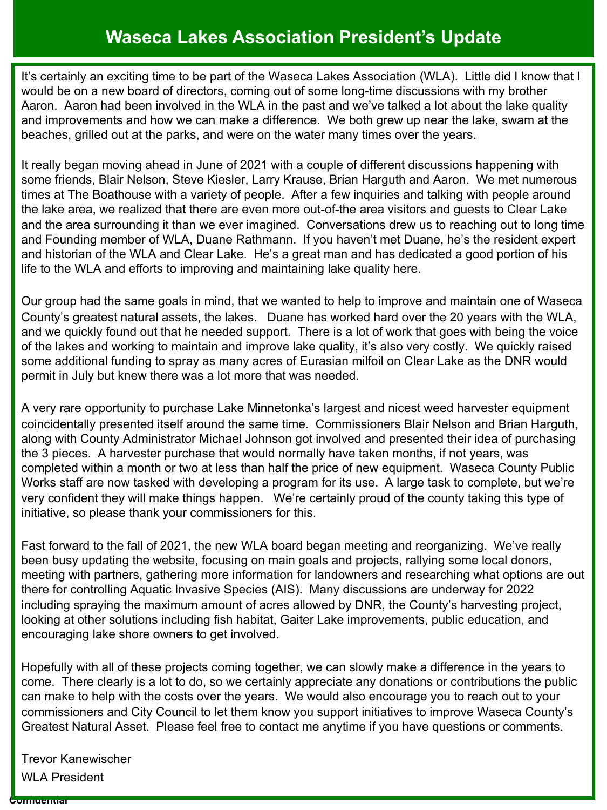### **Waseca Lakes Association President's Update**

It's certainly an exciting time to be part of the Waseca Lakes Association (WLA). Little did I know that I would be on a new board of directors, coming out of some long-time discussions with my brother Aaron. Aaron had been involved in the WLA in the past and we've talked a lot about the lake quality and improvements and how we can make a difference. We both grew up near the lake, swam at the beaches, grilled out at the parks, and were on the water many times over the years.

It really began moving ahead in June of 2021 with a couple of different discussions happening with some friends, Blair Nelson, Steve Kiesler, Larry Krause, Brian Harguth and Aaron. We met numerous times at The Boathouse with a variety of people. After a few inquiries and talking with people around the lake area, we realized that there are even more out-of-the area visitors and guests to Clear Lake and the area surrounding it than we ever imagined. Conversations drew us to reaching out to long time and Founding member of WLA, Duane Rathmann. If you haven't met Duane, he's the resident expert and historian of the WLA and Clear Lake. He's a great man and has dedicated a good portion of his life to the WLA and efforts to improving and maintaining lake quality here.

Our group had the same goals in mind, that we wanted to help to improve and maintain one of Waseca County's greatest natural assets, the lakes. Duane has worked hard over the 20 years with the WLA, and we quickly found out that he needed support. There is a lot of work that goes with being the voice of the lakes and working to maintain and improve lake quality, it's also very costly. We quickly raised some additional funding to spray as many acres of Eurasian milfoil on Clear Lake as the DNR would permit in July but knew there was a lot more that was needed.

A very rare opportunity to purchase Lake Minnetonka's largest and nicest weed harvester equipment coincidentally presented itself around the same time. Commissioners Blair Nelson and Brian Harguth, along with County Administrator Michael Johnson got involved and presented their idea of purchasing the 3 pieces. A harvester purchase that would normally have taken months, if not years, was completed within a month or two at less than half the price of new equipment. Waseca County Public Works staff are now tasked with developing a program for its use. A large task to complete, but we're very confident they will make things happen. We're certainly proud of the county taking this type of initiative, so please thank your commissioners for this.

Fast forward to the fall of 2021, the new WLA board began meeting and reorganizing. We've really been busy updating the website, focusing on main goals and projects, rallying some local donors, meeting with partners, gathering more information for landowners and researching what options are out there for controlling Aquatic Invasive Species (AIS). Many discussions are underway for 2022 including spraying the maximum amount of acres allowed by DNR, the County's harvesting project, looking at other solutions including fish habitat, Gaiter Lake improvements, public education, and encouraging lake shore owners to get involved.

Hopefully with all of these projects coming together, we can slowly make a difference in the years to come. There clearly is a lot to do, so we certainly appreciate any donations or contributions the public can make to help with the costs over the years. We would also encourage you to reach out to your commissioners and City Council to let them know you support initiatives to improve Waseca County's Greatest Natural Asset. Please feel free to contact me anytime if you have questions or comments.

Trevor Kanewischer WLA President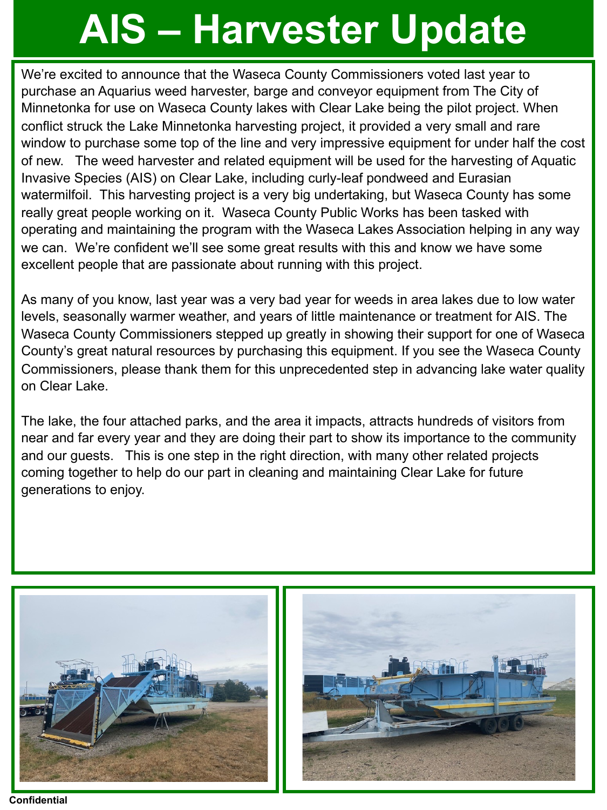# **AIS – Harvester Update**

We're excited to announce that the Waseca County Commissioners voted last year to purchase an Aquarius weed harvester, barge and conveyor equipment from The City of Minnetonka for use on Waseca County lakes with Clear Lake being the pilot project. When conflict struck the Lake Minnetonka harvesting project, it provided a very small and rare window to purchase some top of the line and very impressive equipment for under half the cost of new. The weed harvester and related equipment will be used for the harvesting of Aquatic Invasive Species (AIS) on Clear Lake, including curly-leaf pondweed and Eurasian watermilfoil. This harvesting project is a very big undertaking, but Waseca County has some really great people working on it. Waseca County Public Works has been tasked with operating and maintaining the program with the Waseca Lakes Association helping in any way we can. We're confident we'll see some great results with this and know we have some excellent people that are passionate about running with this project.

As many of you know, last year was a very bad year for weeds in area lakes due to low water levels, seasonally warmer weather, and years of little maintenance or treatment for AIS. The Waseca County Commissioners stepped up greatly in showing their support for one of Waseca County's great natural resources by purchasing this equipment. If you see the Waseca County Commissioners, please thank them for this unprecedented step in advancing lake water quality on Clear Lake.

The lake, the four attached parks, and the area it impacts, attracts hundreds of visitors from near and far every year and they are doing their part to show its importance to the community and our guests. This is one step in the right direction, with many other related projects coming together to help do our part in cleaning and maintaining Clear Lake for future generations to enjoy.





**Confidential**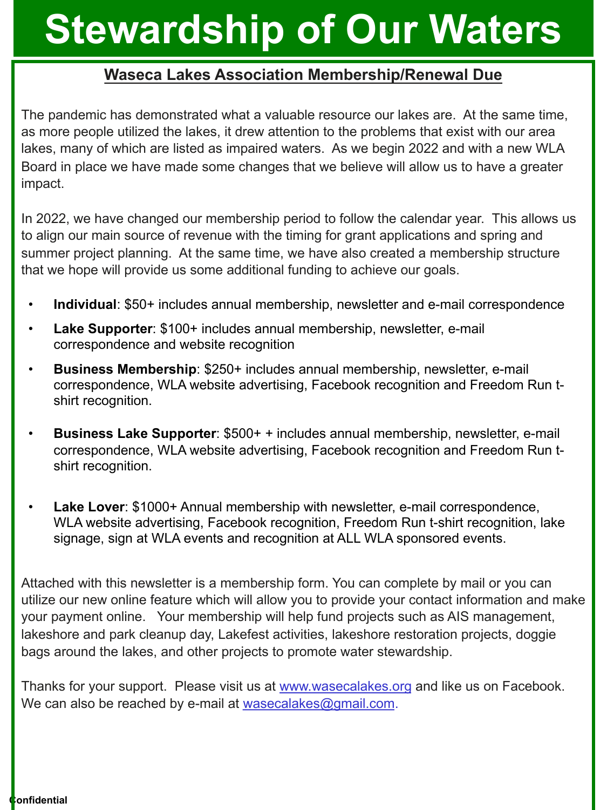## **Stewardship of Our Waters**

#### **Waseca Lakes Association Membership/Renewal Due**

The pandemic has demonstrated what a valuable resource our lakes are. At the same time, as more people utilized the lakes, it drew attention to the problems that exist with our area lakes, many of which are listed as impaired waters. As we begin 2022 and with a new WLA Board in place we have made some changes that we believe will allow us to have a greater impact.

In 2022, we have changed our membership period to follow the calendar year. This allows us to align our main source of revenue with the timing for grant applications and spring and summer project planning. At the same time, we have also created a membership structure that we hope will provide us some additional funding to achieve our goals.

- **Individual**: \$50+ includes annual membership, newsletter and e-mail correspondence
- **Lake Supporter**: \$100+ includes annual membership, newsletter, e-mail correspondence and website recognition
- **Business Membership**: \$250+ includes annual membership, newsletter, e-mail correspondence, WLA website advertising, Facebook recognition and Freedom Run tshirt recognition.
- **Business Lake Supporter**: \$500+ + includes annual membership, newsletter, e-mail correspondence, WLA website advertising, Facebook recognition and Freedom Run tshirt recognition.
- **Lake Lover**: \$1000+ Annual membership with newsletter, e-mail correspondence, WLA website advertising, Facebook recognition, Freedom Run t-shirt recognition, lake signage, sign at WLA events and recognition at ALL WLA sponsored events.

Attached with this newsletter is a membership form. You can complete by mail or you can utilize our new online feature which will allow you to provide your contact information and make your payment online. Your membership will help fund projects such as AIS management, lakeshore and park cleanup day, Lakefest activities, lakeshore restoration projects, doggie bags around the lakes, and other projects to promote water stewardship.

Thanks for your support. Please visit us at www.wasecalakes.org and like us on Facebook. We can also be reached by e-mail at wasecalakes@gmail.com.

**confidential**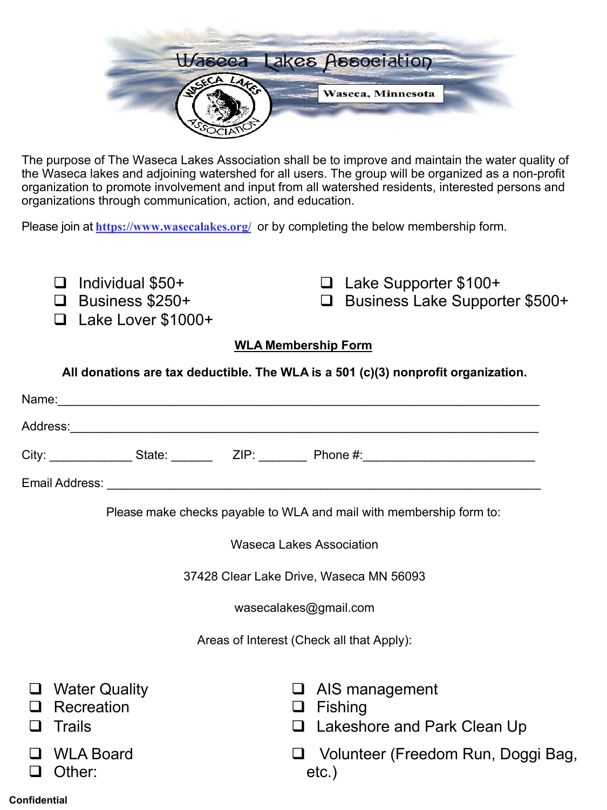

The purpose of The Waseca Lakes Association shall be to improve and maintain the water quality of the Waseca lakes and adjoining watershed for all users. The group will be organized as a non-profit organization to promote involvement and input from all watershed residents, interested persons and organizations through communication, action, and education.

Please join at **https://www.wasecalakes.org/** or by completing the below membership form.

- $\Box$  Individual \$50+
- $\Box$  Business \$250+
- q Lake Lover \$1000+

□ Lake Supporter \$100+ □ Business Lake Supporter \$500+

#### **WLA Membership Form**

**All donations are tax deductible. The WLA is a 501 (c)(3) nonprofit organization.**

|                                           |                                              |                       | City: _______________State: __________ZIP: _________Phone #: ___________________ |  |
|-------------------------------------------|----------------------------------------------|-----------------------|----------------------------------------------------------------------------------|--|
|                                           |                                              |                       |                                                                                  |  |
|                                           |                                              |                       | Please make checks payable to WLA and mail with membership form to:              |  |
| Waseca Lakes Association                  |                                              |                       |                                                                                  |  |
| 37428 Clear Lake Drive, Waseca MN 56093   |                                              |                       |                                                                                  |  |
|                                           |                                              | wasecalakes@gmail.com |                                                                                  |  |
| Areas of Interest (Check all that Apply): |                                              |                       |                                                                                  |  |
|                                           | <b>Water Quality</b><br>Recreation<br>Trails | ப<br>ப<br>ப           | AIS management<br>Fishing<br>Lakeshore and Park Clean Up                         |  |
|                                           | □ WLA Board                                  |                       | Volunteer (Freedom Run, Doggi Bag,                                               |  |

etc.)

#### **Confidential**

**Q** Other: